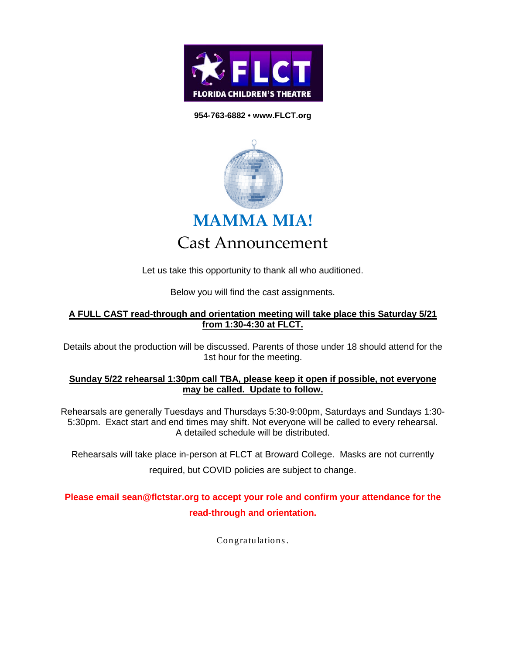

## **954-763-6882 • www.FLCT.org**



Let us take this opportunity to thank all who auditioned.

Below you will find the cast assignments.

## **A FULL CAST read-through and orientation meeting will take place this Saturday 5/21 from 1:30-4:30 at FLCT.**

Details about the production will be discussed. Parents of those under 18 should attend for the 1st hour for the meeting.

## **Sunday 5/22 rehearsal 1:30pm call TBA, please keep it open if possible, not everyone may be called. Update to follow.**

Rehearsals are generally Tuesdays and Thursdays 5:30-9:00pm, Saturdays and Sundays 1:30- 5:30pm. Exact start and end times may shift. Not everyone will be called to every rehearsal. A detailed schedule will be distributed.

Rehearsals will take place in-person at FLCT at Broward College. Masks are not currently required, but COVID policies are subject to change.

## **Please email sean@flctstar.org to accept your role and confirm your attendance for the read-through and orientation.**

Congratulations .